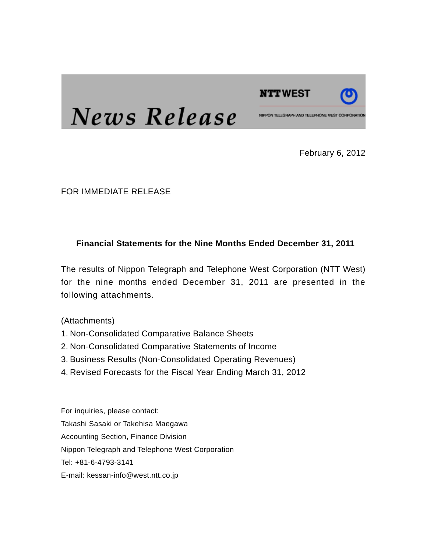

# News Release

February 6, 2012

FOR IMMEDIATE RELEASE

#### **Financial Statements for the Nine Months Ended December 31, 2011**

The results of Nippon Telegraph and Telephone West Corporation (NTT West) for the nine months ended December 31, 2011 are presented in the following attachments.

(Attachments)

- 1. Non-Consolidated Comparative Balance Sheets
- 2. Non-Consolidated Comparative Statements of Income
- 3. Business Results (Non-Consolidated Operating Revenues)
- 4. Revised Forecasts for the Fiscal Year Ending March 31, 2012

For inquiries, please contact: Takashi Sasaki or Takehisa Maegawa Accounting Section, Finance Division Nippon Telegraph and Telephone West Corporation Tel: +81-6-4793-3141 E-mail: kessan-info@west.ntt.co.jp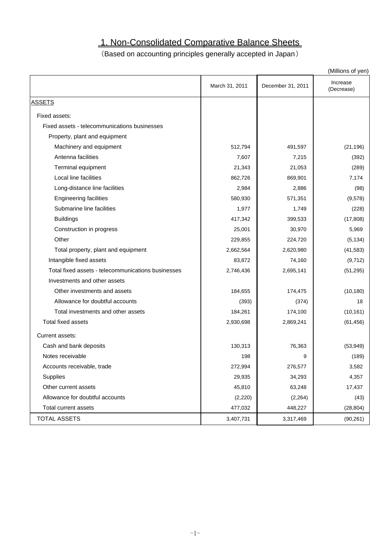## 1. Non-Consolidated Comparative Balance Sheets

### (Based on accounting principles generally accepted in Japan)

|                                                    |                |                   | (Millions of yen)      |
|----------------------------------------------------|----------------|-------------------|------------------------|
|                                                    | March 31, 2011 | December 31, 2011 | Increase<br>(Decrease) |
| <b>ASSETS</b>                                      |                |                   |                        |
| Fixed assets:                                      |                |                   |                        |
| Fixed assets - telecommunications businesses       |                |                   |                        |
| Property, plant and equipment                      |                |                   |                        |
| Machinery and equipment                            | 512,794        | 491,597           | (21, 196)              |
| Antenna facilities                                 | 7,607          | 7,215             | (392)                  |
| Terminal equipment                                 | 21,343         | 21,053            | (289)                  |
| Local line facilities                              | 862,726        | 869,901           | 7,174                  |
| Long-distance line facilities                      | 2,984          | 2,886             | (98)                   |
| <b>Engineering facilities</b>                      | 580,930        | 571,351           | (9,578)                |
| Submarine line facilities                          | 1,977          | 1,749             | (228)                  |
| <b>Buildings</b>                                   | 417,342        | 399,533           | (17, 808)              |
| Construction in progress                           | 25,001         | 30,970            | 5,969                  |
| Other                                              | 229,855        | 224,720           | (5, 134)               |
| Total property, plant and equipment                | 2,662,564      | 2,620,980         | (41, 583)              |
| Intangible fixed assets                            | 83,872         | 74,160            | (9,712)                |
| Total fixed assets - telecommunications businesses | 2,746,436      | 2,695,141         | (51, 295)              |
| Investments and other assets                       |                |                   |                        |
| Other investments and assets                       | 184,655        | 174,475           | (10, 180)              |
| Allowance for doubtful accounts                    | (393)          | (374)             | 18                     |
| Total investments and other assets                 | 184,261        | 174,100           | (10, 161)              |
| <b>Total fixed assets</b>                          | 2,930,698      | 2,869,241         | (61, 456)              |
| Current assets:                                    |                |                   |                        |
| Cash and bank deposits                             | 130,313        | 76,363            | (53, 949)              |
| Notes receivable                                   | 198            | 9                 | (189)                  |
| Accounts receivable, trade                         | 272,994        | 276,577           | 3,582                  |
| Supplies                                           | 29,935         | 34,293            | 4,357                  |
| Other current assets                               | 45,810         | 63,248            | 17,437                 |
| Allowance for doubtful accounts                    | (2,220)        | (2, 264)          | (43)                   |
| Total current assets                               | 477,032        | 448,227           | (28, 804)              |
| <b>TOTAL ASSETS</b>                                | 3,407,731      | 3,317,469         | (90, 261)              |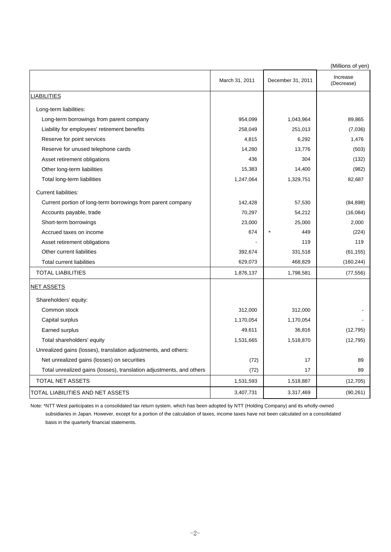(Millions of yen)

|                                                                      |                |                   | ווט א וט טווטווויון,   |
|----------------------------------------------------------------------|----------------|-------------------|------------------------|
|                                                                      | March 31, 2011 | December 31, 2011 | Increase<br>(Decrease) |
| <b>LIABILITIES</b>                                                   |                |                   |                        |
| Long-term liabilities:                                               |                |                   |                        |
| Long-term borrowings from parent company                             | 954,099        | 1,043,964         | 89,865                 |
| Liability for employees' retirement benefits                         | 258,049        | 251,013           | (7,036)                |
| Reserve for point services                                           | 4,815          | 6,292             | 1,476                  |
| Reserve for unused telephone cards                                   | 14,280         | 13,776            | (503)                  |
| Asset retirement obligations                                         | 436            | 304               | (132)                  |
| Other long-term liabilities                                          | 15,383         | 14,400            | (982)                  |
| Total long-term liabilities                                          | 1,247,064      | 1,329,751         | 82,687                 |
| <b>Current liabilities:</b>                                          |                |                   |                        |
| Current portion of long-term borrowings from parent company          | 142,428        | 57,530            | (84, 898)              |
| Accounts payable, trade                                              | 70,297         | 54,212            | (16,084)               |
| Short-term borrowings                                                | 23,000         | 25,000            | 2,000                  |
| Accrued taxes on income                                              | 674            | 449<br>$\ast$     | (224)                  |
| Asset retirement obligations                                         |                | 119               | 119                    |
| Other current liabilities                                            | 392,674        | 331,518           | (61, 155)              |
| <b>Total current liabilities</b>                                     | 629,073        | 468,829           | (160, 244)             |
| <b>TOTAL LIABILITIES</b>                                             | 1,876,137      | 1,798,581         | (77, 556)              |
| <b>NET ASSETS</b>                                                    |                |                   |                        |
| Shareholders' equity:                                                |                |                   |                        |
| Common stock                                                         | 312,000        | 312,000           |                        |
| Capital surplus                                                      | 1,170,054      | 1,170,054         |                        |
| Earned surplus                                                       | 49,611         | 36,816            | (12, 795)              |
| Total shareholders' equity                                           | 1,531,665      | 1,518,870         | (12, 795)              |
| Unrealized gains (losses), translation adjustments, and others:      |                |                   |                        |
| Net unrealized gains (losses) on securities                          | (72)           | 17                | 89                     |
| Total unrealized gains (losses), translation adjustments, and others | (72)           | 17                | 89                     |
| TOTAL NET ASSETS                                                     | 1,531,593      | 1,518,887         | (12,705)               |
| TOTAL LIABILITIES AND NET ASSETS                                     | 3,407,731      | 3,317,469         | (90, 261)              |

Note: \*NTT West participates in a consolidated tax return system, which has been adopted by NTT (Holding Company) and its wholly-owned subsidiaries in Japan. However, except for a portion of the calculation of taxes, income taxes have not been calculated on a consolidated basis in the quarterly financial statements.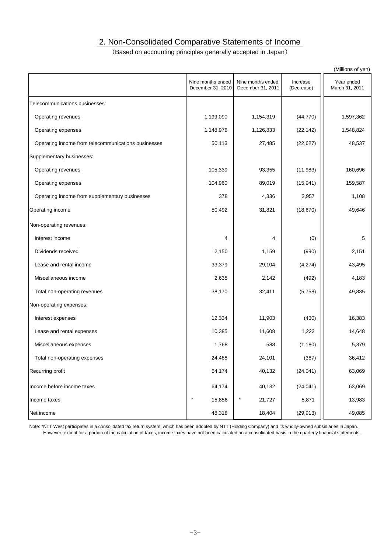#### 2. Non-Consolidated Comparative Statements of Income

#### (Based on accounting principles generally accepted in Japan)

|                                                     |                                        |                                        |                        | (Millions of yen)            |
|-----------------------------------------------------|----------------------------------------|----------------------------------------|------------------------|------------------------------|
|                                                     | Nine months ended<br>December 31, 2010 | Nine months ended<br>December 31, 2011 | Increase<br>(Decrease) | Year ended<br>March 31, 2011 |
| Telecommunications businesses:                      |                                        |                                        |                        |                              |
| Operating revenues                                  | 1,199,090                              | 1,154,319                              | (44, 770)              | 1,597,362                    |
| Operating expenses                                  | 1,148,976                              | 1,126,833                              | (22, 142)              | 1,548,824                    |
| Operating income from telecommunications businesses | 50,113                                 | 27,485                                 | (22, 627)              | 48,537                       |
| Supplementary businesses:                           |                                        |                                        |                        |                              |
| Operating revenues                                  | 105,339                                | 93,355                                 | (11, 983)              | 160,696                      |
| Operating expenses                                  | 104,960                                | 89,019                                 | (15, 941)              | 159,587                      |
| Operating income from supplementary businesses      | 378                                    | 4,336                                  | 3,957                  | 1,108                        |
| Operating income                                    | 50,492                                 | 31,821                                 | (18, 670)              | 49,646                       |
| Non-operating revenues:                             |                                        |                                        |                        |                              |
| Interest income                                     | 4                                      | 4                                      | (0)                    | 5                            |
| Dividends received                                  | 2,150                                  | 1,159                                  | (990)                  | 2,151                        |
| Lease and rental income                             | 33,379                                 | 29,104                                 | (4,274)                | 43,495                       |
| Miscellaneous income                                | 2,635                                  | 2,142                                  | (492)                  | 4,183                        |
| Total non-operating revenues                        | 38,170                                 | 32,411                                 | (5,758)                | 49,835                       |
| Non-operating expenses:                             |                                        |                                        |                        |                              |
| Interest expenses                                   | 12,334                                 | 11,903                                 | (430)                  | 16,383                       |
| Lease and rental expenses                           | 10,385                                 | 11,608                                 | 1,223                  | 14,648                       |
| Miscellaneous expenses                              | 1,768                                  | 588                                    | (1, 180)               | 5,379                        |
| Total non-operating expenses                        | 24,488                                 | 24,101                                 | (387)                  | 36,412                       |
| Recurring profit                                    | 64,174                                 | 40,132                                 | (24, 041)              | 63,069                       |
| Income before income taxes                          | 64,174                                 | 40,132                                 | (24, 041)              | 63,069                       |
| Income taxes                                        | $\ast$<br>15,856                       | ∗<br>21,727                            | 5,871                  | 13,983                       |
| Net income                                          | 48,318                                 | 18,404                                 | (29, 913)              | 49,085                       |

Note: \*NTT West participates in a consolidated tax return system, which has been adopted by NTT (Holding Company) and its wholly-owned subsidiaries in Japan. However, except for a portion of the calculation of taxes, income taxes have not been calculated on a consolidated basis in the quarterly financial statements.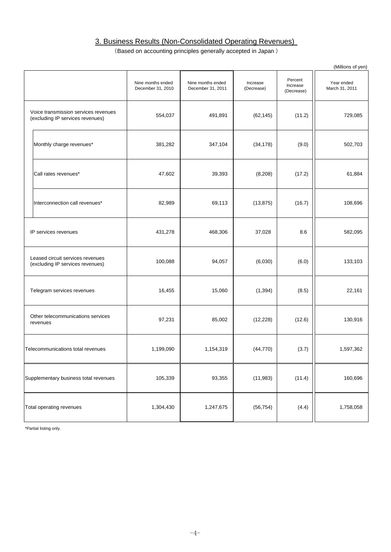#### 3. Business Results (Non-Consolidated Operating Revenues)

(Based on accounting principles generally accepted in Japan )

|                                                                          |                                        |                                        |                        |                                   | (Millions of yen)            |
|--------------------------------------------------------------------------|----------------------------------------|----------------------------------------|------------------------|-----------------------------------|------------------------------|
|                                                                          | Nine months ended<br>December 31, 2010 | Nine months ended<br>December 31, 2011 | Increase<br>(Decrease) | Percent<br>Increase<br>(Decrease) | Year ended<br>March 31, 2011 |
| Voice transmission services revenues<br>(excluding IP services revenues) | 554,037                                | 491,891                                | (62, 145)              | (11.2)                            | 729,085                      |
| Monthly charge revenues*                                                 | 381,282                                | 347,104                                | (34, 178)              | (9.0)                             | 502,703                      |
| Call rates revenues*                                                     | 47,602                                 | 39,393                                 | (8, 208)               | (17.2)                            | 61,884                       |
| Interconnection call revenues*                                           | 82,989                                 | 69,113                                 | (13, 875)              | (16.7)                            | 108,696                      |
| IP services revenues                                                     | 431,278                                | 468,306                                | 37,028                 | 8.6                               | 582,095                      |
| Leased circuit services revenues<br>(excluding IP services revenues)     | 100,088                                | 94,057                                 | (6,030)                | (6.0)                             | 133,103                      |
| Telegram services revenues                                               | 16,455                                 | 15,060                                 | (1, 394)               | (8.5)                             | 22,161                       |
| Other telecommunications services<br>revenues                            | 97,231                                 | 85,002                                 | (12, 228)              | (12.6)                            | 130,916                      |
| Telecommunications total revenues                                        | 1,199,090                              | 1,154,319                              | (44, 770)              | (3.7)                             | 1,597,362                    |
| Supplementary business total revenues                                    | 105,339                                | 93,355                                 | (11, 983)              | (11.4)                            | 160,696                      |
| Total operating revenues                                                 | 1,304,430                              | 1,247,675                              | (56, 754)              | (4.4)                             | 1,758,058                    |

\*Partial listing only.